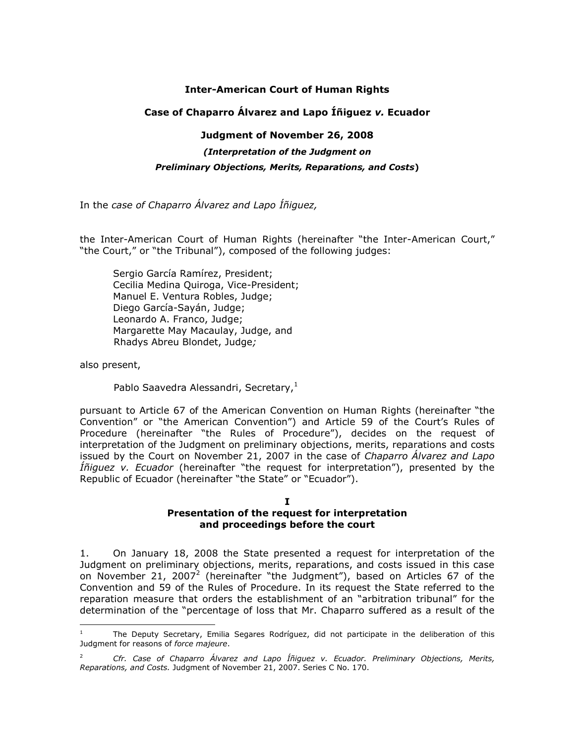## **Inter-American Court of Human Rights**

## **Case of Chaparro Álvarez and Lapo Íñiguez** *v.* **Ecuador**

## **Judgment of November 26, 2008**

*(Interpretation of the Judgment on* 

## *Preliminary Objections, Merits, Reparations, and Costs***)**

In the *case of Chaparro Álvarez and Lapo Íñiguez,*

the Inter-American Court of Human Rights (hereinafter "the Inter-American Court," "the Court," or "the Tribunal"), composed of the following judges:

Sergio García Ramírez, President; Cecilia Medina Quiroga, Vice-President; Manuel E. Ventura Robles, Judge; Diego García-Sayán, Judge; Leonardo A. Franco, Judge; Margarette May Macaulay, Judge, and Rhadys Abreu Blondet, Judge*;*

also present,

l

Pablo Saavedra Alessandri, Secretary,<sup>1</sup>

pursuant to Article 67 of the American Convention on Human Rights (hereinafter "the Convention" or "the American Convention") and Article 59 of the Court's Rules of Procedure (hereinafter "the Rules of Procedure"), decides on the request of interpretation of the Judgment on preliminary objections, merits, reparations and costs issued by the Court on November 21, 2007 in the case of *Chaparro Álvarez and Lapo Íñiguez v. Ecuador* (hereinafter "the request for interpretation"), presented by the Republic of Ecuador (hereinafter "the State" or "Ecuador").

#### **I Presentation of the request for interpretation and proceedings before the court**

1. On January 18, 2008 the State presented a request for interpretation of the Judgment on preliminary objections, merits, reparations, and costs issued in this case on November 21, 2007<sup>2</sup> (hereinafter "the Judgment"), based on Articles 67 of the Convention and 59 of the Rules of Procedure. In its request the State referred to the reparation measure that orders the establishment of an "arbitration tribunal" for the determination of the "percentage of loss that Mr. Chaparro suffered as a result of the

<sup>1</sup> The Deputy Secretary, Emilia Segares Rodríguez, did not participate in the deliberation of this Judgment for reasons of *force majeure*.

<sup>2</sup> *Cfr. Case of Chaparro Álvarez and Lapo Íñiguez v. Ecuador. Preliminary Objections, Merits, Reparations, and Costs.* Judgment of November 21, 2007. Series C No. 170.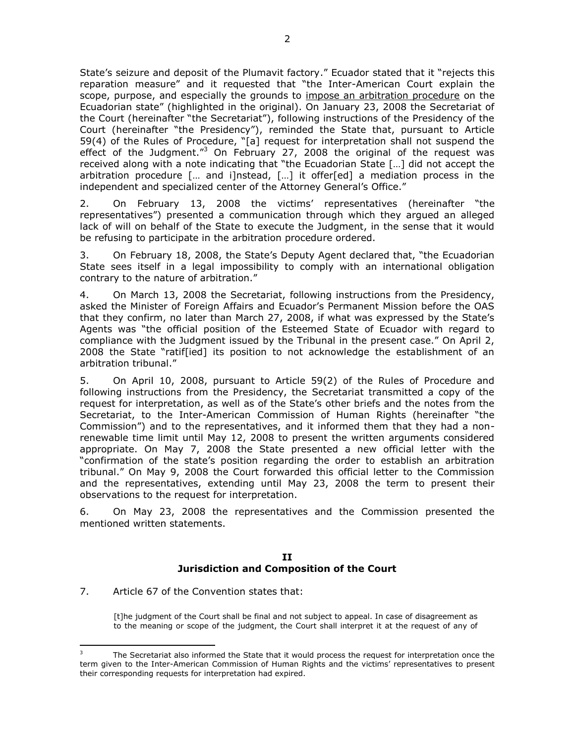State's seizure and deposit of the Plumavit factory." Ecuador stated that it "rejects this reparation measure" and it requested that "the Inter-American Court explain the scope, purpose, and especially the grounds to impose an arbitration procedure on the Ecuadorian state" (highlighted in the original). On January 23, 2008 the Secretariat of the Court (hereinafter "the Secretariat"), following instructions of the Presidency of the Court (hereinafter "the Presidency"), reminded the State that, pursuant to Article 59(4) of the Rules of Procedure, "[a] request for interpretation shall not suspend the effect of the Judgment."<sup>3</sup> On February 27, 2008 the original of the request was received along with a note indicating that "the Ecuadorian State […] did not accept the arbitration procedure [… and i]nstead, […] it offer[ed] a mediation process in the independent and specialized center of the Attorney General's Office."

2. On February 13, 2008 the victims' representatives (hereinafter "the representatives") presented a communication through which they argued an alleged lack of will on behalf of the State to execute the Judgment, in the sense that it would be refusing to participate in the arbitration procedure ordered.

3. On February 18, 2008, the State's Deputy Agent declared that, "the Ecuadorian State sees itself in a legal impossibility to comply with an international obligation contrary to the nature of arbitration."

4. On March 13, 2008 the Secretariat, following instructions from the Presidency, asked the Minister of Foreign Affairs and Ecuador's Permanent Mission before the OAS that they confirm, no later than March 27, 2008, if what was expressed by the State's Agents was "the official position of the Esteemed State of Ecuador with regard to compliance with the Judgment issued by the Tribunal in the present case." On April 2, 2008 the State "ratif[ied] its position to not acknowledge the establishment of an arbitration tribunal."

5. On April 10, 2008, pursuant to Article 59(2) of the Rules of Procedure and following instructions from the Presidency, the Secretariat transmitted a copy of the request for interpretation, as well as of the State's other briefs and the notes from the Secretariat, to the Inter-American Commission of Human Rights (hereinafter "the Commission") and to the representatives, and it informed them that they had a nonrenewable time limit until May 12, 2008 to present the written arguments considered appropriate. On May 7, 2008 the State presented a new official letter with the "confirmation of the state's position regarding the order to establish an arbitration tribunal." On May 9, 2008 the Court forwarded this official letter to the Commission and the representatives, extending until May 23, 2008 the term to present their observations to the request for interpretation.

6. On May 23, 2008 the representatives and the Commission presented the mentioned written statements.

#### **II Jurisdiction and Composition of the Court**

7. Article 67 of the Convention states that:

ł

[t]he judgment of the Court shall be final and not subject to appeal. In case of disagreement as to the meaning or scope of the judgment, the Court shall interpret it at the request of any of

The Secretariat also informed the State that it would process the request for interpretation once the term given to the Inter-American Commission of Human Rights and the victims' representatives to present their corresponding requests for interpretation had expired.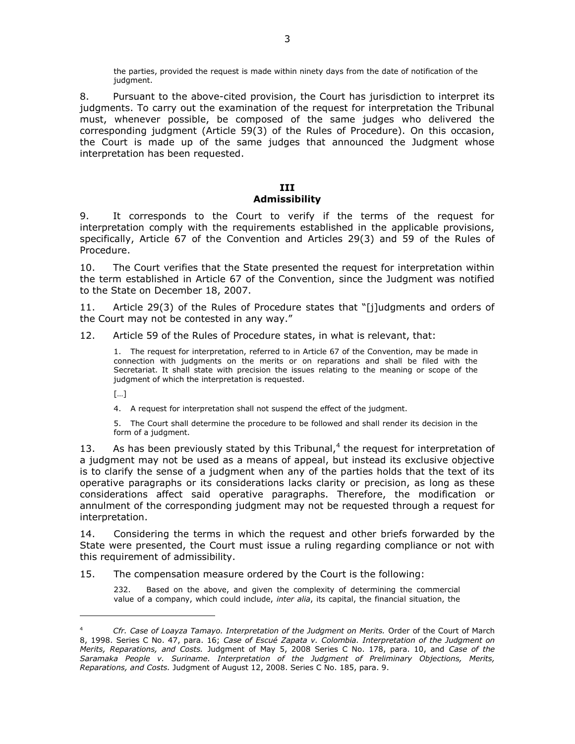the parties, provided the request is made within ninety days from the date of notification of the judgment.

8. Pursuant to the above-cited provision, the Court has jurisdiction to interpret its judgments. To carry out the examination of the request for interpretation the Tribunal must, whenever possible, be composed of the same judges who delivered the corresponding judgment (Article 59(3) of the Rules of Procedure). On this occasion, the Court is made up of the same judges that announced the Judgment whose interpretation has been requested.

## **III Admissibility**

9. It corresponds to the Court to verify if the terms of the request for interpretation comply with the requirements established in the applicable provisions, specifically, Article 67 of the Convention and Articles 29(3) and 59 of the Rules of Procedure.

10. The Court verifies that the State presented the request for interpretation within the term established in Article 67 of the Convention, since the Judgment was notified to the State on December 18, 2007.

11. Article 29(3) of the Rules of Procedure states that "[j]udgments and orders of the Court may not be contested in any way."

12. Article 59 of the Rules of Procedure states, in what is relevant, that:

1. The request for interpretation, referred to in Article 67 of the Convention, may be made in connection with judgments on the merits or on reparations and shall be filed with the Secretariat. It shall state with precision the issues relating to the meaning or scope of the judgment of which the interpretation is requested.

[…]

l

4. A request for interpretation shall not suspend the effect of the judgment.

5. The Court shall determine the procedure to be followed and shall render its decision in the form of a judgment.

13. As has been previously stated by this Tribunal, $4$  the request for interpretation of a judgment may not be used as a means of appeal, but instead its exclusive objective is to clarify the sense of a judgment when any of the parties holds that the text of its operative paragraphs or its considerations lacks clarity or precision, as long as these considerations affect said operative paragraphs. Therefore, the modification or annulment of the corresponding judgment may not be requested through a request for interpretation.

14. Considering the terms in which the request and other briefs forwarded by the State were presented, the Court must issue a ruling regarding compliance or not with this requirement of admissibility.

15. The compensation measure ordered by the Court is the following:

232. Based on the above, and given the complexity of determining the commercial value of a company, which could include, *inter alia*, its capital, the financial situation, the

<sup>4</sup> *Cfr. Case of Loayza Tamayo. Interpretation of the Judgment on Merits.* Order of the Court of March 8, 1998. Series C No. 47, para. 16; *Case of Escué Zapata v. Colombia. Interpretation of the Judgment on Merits, Reparations, and Costs.* Judgment of May 5, 2008 Series C No. 178, para. 10, and *Case of the Saramaka People v. Suriname. Interpretation of the Judgment of Preliminary Objections, Merits, Reparations, and Costs.* Judgment of August 12, 2008. Series C No. 185, para. 9.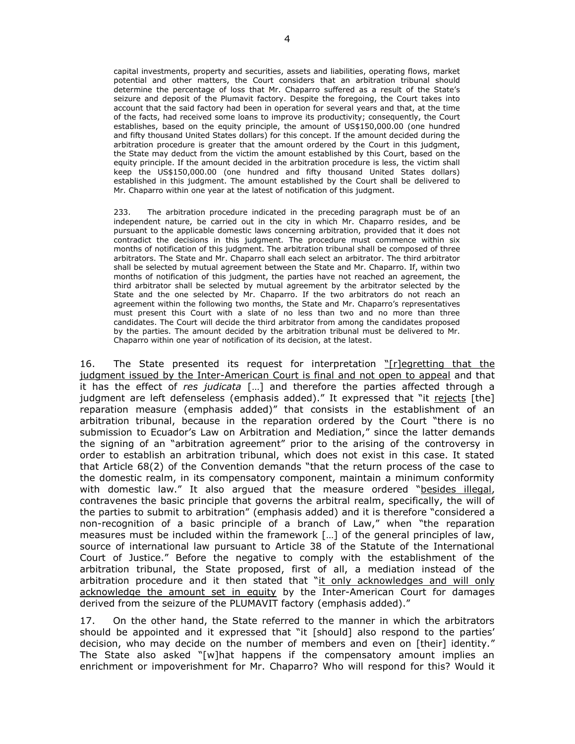capital investments, property and securities, assets and liabilities, operating flows, market potential and other matters, the Court considers that an arbitration tribunal should determine the percentage of loss that Mr. Chaparro suffered as a result of the State's seizure and deposit of the Plumavit factory. Despite the foregoing, the Court takes into account that the said factory had been in operation for several years and that, at the time of the facts, had received some loans to improve its productivity; consequently, the Court establishes, based on the equity principle, the amount of US\$150,000.00 (one hundred and fifty thousand United States dollars) for this concept. If the amount decided during the arbitration procedure is greater that the amount ordered by the Court in this judgment, the State may deduct from the victim the amount established by this Court, based on the equity principle. If the amount decided in the arbitration procedure is less, the victim shall keep the US\$150,000.00 (one hundred and fifty thousand United States dollars) established in this judgment. The amount established by the Court shall be delivered to Mr. Chaparro within one year at the latest of notification of this judgment.

233. The arbitration procedure indicated in the preceding paragraph must be of an independent nature, be carried out in the city in which Mr. Chaparro resides, and be pursuant to the applicable domestic laws concerning arbitration, provided that it does not contradict the decisions in this judgment. The procedure must commence within six months of notification of this judgment. The arbitration tribunal shall be composed of three arbitrators. The State and Mr. Chaparro shall each select an arbitrator. The third arbitrator shall be selected by mutual agreement between the State and Mr. Chaparro. If, within two months of notification of this judgment, the parties have not reached an agreement, the third arbitrator shall be selected by mutual agreement by the arbitrator selected by the State and the one selected by Mr. Chaparro. If the two arbitrators do not reach an agreement within the following two months, the State and Mr. Chaparro's representatives must present this Court with a slate of no less than two and no more than three candidates. The Court will decide the third arbitrator from among the candidates proposed by the parties. The amount decided by the arbitration tribunal must be delivered to Mr. Chaparro within one year of notification of its decision, at the latest.

16. The State presented its request for interpretation "[r]egretting that the judgment issued by the Inter-American Court is final and not open to appeal and that it has the effect of *res judicata* […] and therefore the parties affected through a judgment are left defenseless (emphasis added)." It expressed that "it rejects [the] reparation measure (emphasis added)" that consists in the establishment of an arbitration tribunal, because in the reparation ordered by the Court "there is no submission to Ecuador's Law on Arbitration and Mediation," since the latter demands the signing of an "arbitration agreement" prior to the arising of the controversy in order to establish an arbitration tribunal, which does not exist in this case. It stated that Article 68(2) of the Convention demands "that the return process of the case to the domestic realm, in its compensatory component, maintain a minimum conformity with domestic law." It also argued that the measure ordered "besides illegal, contravenes the basic principle that governs the arbitral realm, specifically, the will of the parties to submit to arbitration" (emphasis added) and it is therefore "considered a non-recognition of a basic principle of a branch of Law," when "the reparation measures must be included within the framework […] of the general principles of law, source of international law pursuant to Article 38 of the Statute of the International Court of Justice." Before the negative to comply with the establishment of the arbitration tribunal, the State proposed, first of all, a mediation instead of the arbitration procedure and it then stated that "it only acknowledges and will only acknowledge the amount set in equity by the Inter-American Court for damages derived from the seizure of the PLUMAVIT factory (emphasis added)."

17. On the other hand, the State referred to the manner in which the arbitrators should be appointed and it expressed that "it [should] also respond to the parties' decision, who may decide on the number of members and even on [their] identity." The State also asked "[w]hat happens if the compensatory amount implies an enrichment or impoverishment for Mr. Chaparro? Who will respond for this? Would it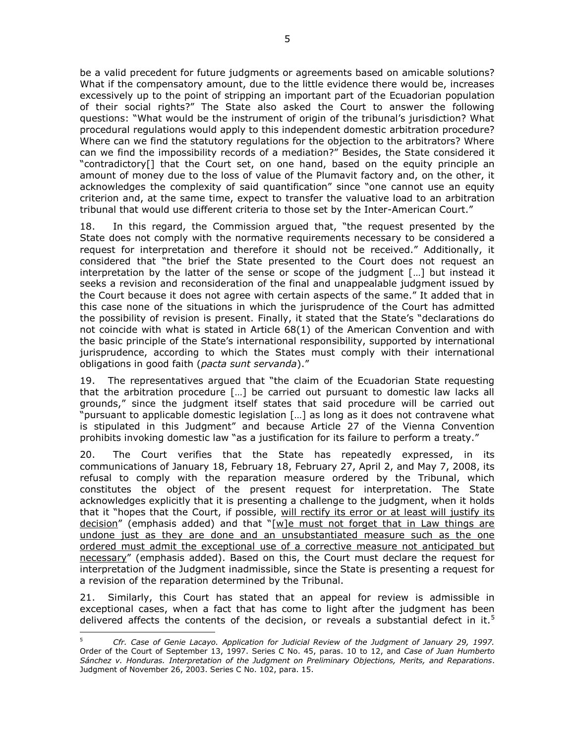be a valid precedent for future judgments or agreements based on amicable solutions? What if the compensatory amount, due to the little evidence there would be, increases excessively up to the point of stripping an important part of the Ecuadorian population of their social rights?" The State also asked the Court to answer the following questions: "What would be the instrument of origin of the tribunal's jurisdiction? What procedural regulations would apply to this independent domestic arbitration procedure? Where can we find the statutory regulations for the objection to the arbitrators? Where can we find the impossibility records of a mediation?" Besides, the State considered it "contradictory[] that the Court set, on one hand, based on the equity principle an amount of money due to the loss of value of the Plumavit factory and, on the other, it acknowledges the complexity of said quantification" since "one cannot use an equity criterion and, at the same time, expect to transfer the valuative load to an arbitration tribunal that would use different criteria to those set by the Inter-American Court."

18. In this regard, the Commission argued that, "the request presented by the State does not comply with the normative requirements necessary to be considered a request for interpretation and therefore it should not be received." Additionally, it considered that "the brief the State presented to the Court does not request an interpretation by the latter of the sense or scope of the judgment […] but instead it seeks a revision and reconsideration of the final and unappealable judgment issued by the Court because it does not agree with certain aspects of the same." It added that in this case none of the situations in which the jurisprudence of the Court has admitted the possibility of revision is present. Finally, it stated that the State's "declarations do not coincide with what is stated in Article 68(1) of the American Convention and with the basic principle of the State's international responsibility, supported by international jurisprudence, according to which the States must comply with their international obligations in good faith (*pacta sunt servanda*)."

19. The representatives argued that "the claim of the Ecuadorian State requesting that the arbitration procedure […] be carried out pursuant to domestic law lacks all grounds," since the judgment itself states that said procedure will be carried out "pursuant to applicable domestic legislation […] as long as it does not contravene what is stipulated in this Judgment" and because Article 27 of the Vienna Convention prohibits invoking domestic law "as a justification for its failure to perform a treaty."

20. The Court verifies that the State has repeatedly expressed, in its communications of January 18, February 18, February 27, April 2, and May 7, 2008, its refusal to comply with the reparation measure ordered by the Tribunal, which constitutes the object of the present request for interpretation. The State acknowledges explicitly that it is presenting a challenge to the judgment, when it holds that it "hopes that the Court, if possible, will rectify its error or at least will justify its decision" (emphasis added) and that "[w]e must not forget that in Law things are undone just as they are done and an unsubstantiated measure such as the one ordered must admit the exceptional use of a corrective measure not anticipated but necessary" (emphasis added). Based on this, the Court must declare the request for interpretation of the Judgment inadmissible, since the State is presenting a request for a revision of the reparation determined by the Tribunal.

21. Similarly, this Court has stated that an appeal for review is admissible in exceptional cases, when a fact that has come to light after the judgment has been delivered affects the contents of the decision, or reveals a substantial defect in it.<sup>5</sup>

l

<sup>5</sup> *Cfr. Case of Genie Lacayo. Application for Judicial Review of the Judgment of January 29, 1997.* Order of the Court of September 13, 1997. Series C No. 45, paras. 10 to 12, and *Case of Juan Humberto Sánchez v. Honduras. Interpretation of the Judgment on Preliminary Objections, Merits, and Reparations*. Judgment of November 26, 2003. Series C No. 102, para. 15.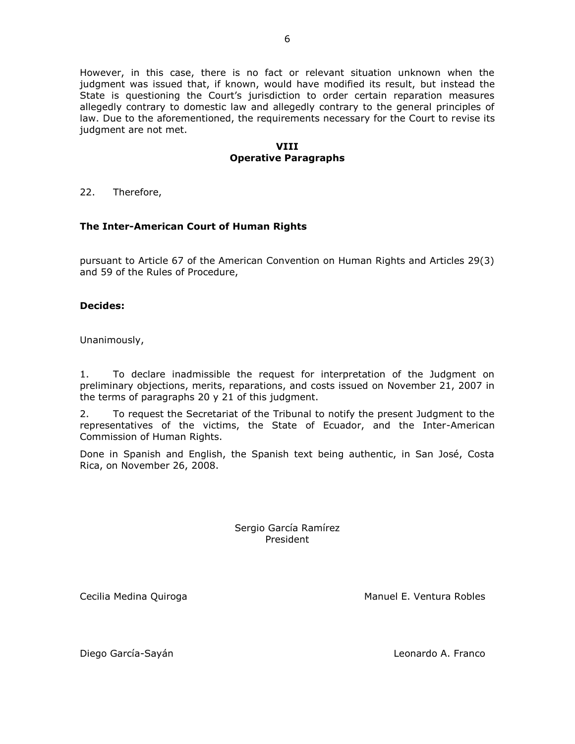However, in this case, there is no fact or relevant situation unknown when the judgment was issued that, if known, would have modified its result, but instead the State is questioning the Court's jurisdiction to order certain reparation measures allegedly contrary to domestic law and allegedly contrary to the general principles of law. Due to the aforementioned, the requirements necessary for the Court to revise its judgment are not met.

### **VIII Operative Paragraphs**

22. Therefore,

# **The Inter-American Court of Human Rights**

pursuant to Article 67 of the American Convention on Human Rights and Articles 29(3) and 59 of the Rules of Procedure,

## **Decides:**

Unanimously,

1. To declare inadmissible the request for interpretation of the Judgment on preliminary objections, merits, reparations, and costs issued on November 21, 2007 in the terms of paragraphs 20 y 21 of this judgment.

2. To request the Secretariat of the Tribunal to notify the present Judgment to the representatives of the victims, the State of Ecuador, and the Inter-American Commission of Human Rights.

Done in Spanish and English, the Spanish text being authentic, in San José, Costa Rica, on November 26, 2008.

> Sergio García Ramírez President

Cecilia Medina Quiroga Manuel E. Ventura Robles

Diego García-Sayán Leonardo A. Franco